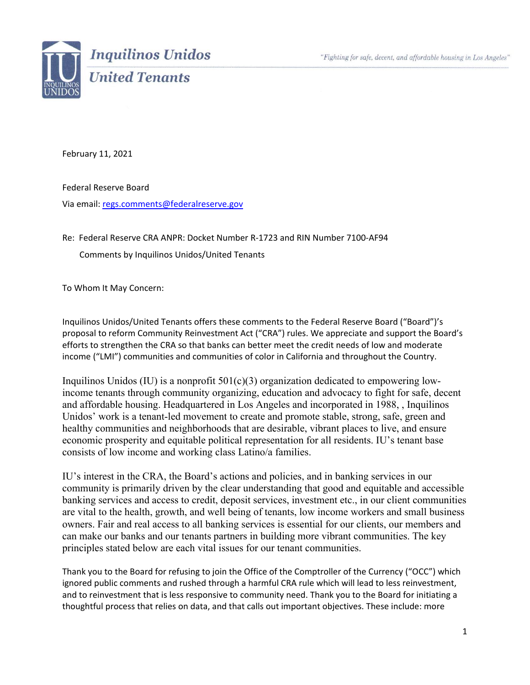"Fighting for safe, decent, and affordable housing in Los Angeles"



February 11, 2021

Federal Reserve Board Via email: [regs.comments@federalreserve.gov](mailto:regs.comments@federalreserve.gov)

Re: Federal Reserve CRA ANPR: Docket Number R-1723 and RIN Number 7100-AF94

Comments by Inquilinos Unidos/United Tenants

To Whom It May Concern:

Inquilinos Unidos/United Tenants offers these comments to the Federal Reserve Board ("Board")'s proposal to reform Community Reinvestment Act ("CRA") rules. We appreciate and support the Board's efforts to strengthen the CRA so that banks can better meet the credit needs of low and moderate income ("LMI") communities and communities of color in California and throughout the Country.

Inquilinos Unidos (IU) is a nonprofit  $501(c)(3)$  organization dedicated to empowering lowincome tenants through community organizing, education and advocacy to fight for safe, decent and affordable housing. Headquartered in Los Angeles and incorporated in 1988, , Inquilinos Unidos' work is a tenant-led movement to create and promote stable, strong, safe, green and healthy communities and neighborhoods that are desirable, vibrant places to live, and ensure economic prosperity and equitable political representation for all residents. IU's tenant base consists of low income and working class Latino/a families.

IU's interest in the CRA, the Board's actions and policies, and in banking services in our community is primarily driven by the clear understanding that good and equitable and accessible banking services and access to credit, deposit services, investment etc., in our client communities are vital to the health, growth, and well being of tenants, low income workers and small business owners. Fair and real access to all banking services is essential for our clients, our members and can make our banks and our tenants partners in building more vibrant communities. The key principles stated below are each vital issues for our tenant communities.

Thank you to the Board for refusing to join the Office of the Comptroller of the Currency ("OCC") which ignored public comments and rushed through a harmful CRA rule which will lead to less reinvestment, and to reinvestment that is less responsive to community need. Thank you to the Board for initiating a thoughtful process that relies on data, and that calls out important objectives. These include: more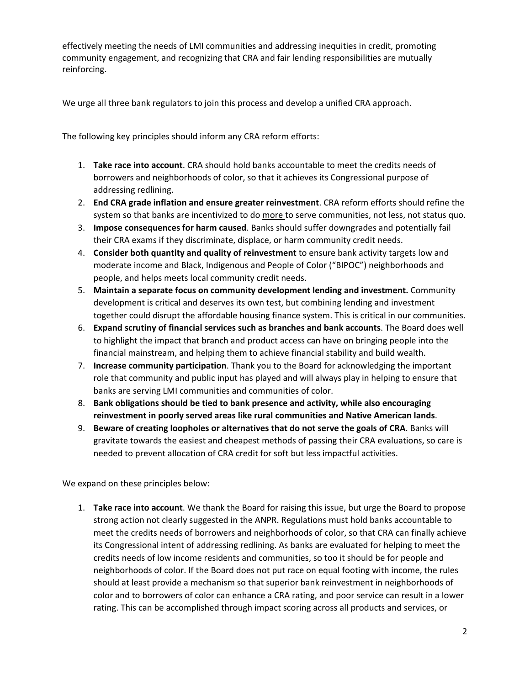effectively meeting the needs of LMI communities and addressing inequities in credit, promoting community engagement, and recognizing that CRA and fair lending responsibilities are mutually reinforcing.

We urge all three bank regulators to join this process and develop a unified CRA approach.

The following key principles should inform any CRA reform efforts:

- 1. **Take race into account**. CRA should hold banks accountable to meet the credits needs of borrowers and neighborhoods of color, so that it achieves its Congressional purpose of addressing redlining.
- 2. **End CRA grade inflation and ensure greater reinvestment**. CRA reform efforts should refine the system so that banks are incentivized to do more to serve communities, not less, not status quo.
- 3. **Impose consequences for harm caused**. Banks should suffer downgrades and potentially fail their CRA exams if they discriminate, displace, or harm community credit needs.
- 4. **Consider both quantity and quality of reinvestment** to ensure bank activity targets low and moderate income and Black, Indigenous and People of Color ("BIPOC") neighborhoods and people, and helps meets local community credit needs.
- 5. **Maintain a separate focus on community development lending and investment.** Community development is critical and deserves its own test, but combining lending and investment together could disrupt the affordable housing finance system. This is critical in our communities.
- 6. **Expand scrutiny of financial services such as branches and bank accounts**. The Board does well to highlight the impact that branch and product access can have on bringing people into the financial mainstream, and helping them to achieve financial stability and build wealth.
- 7. **Increase community participation**. Thank you to the Board for acknowledging the important role that community and public input has played and will always play in helping to ensure that banks are serving LMI communities and communities of color.
- 8. **Bank obligations should be tied to bank presence and activity, while also encouraging reinvestment in poorly served areas like rural communities and Native American lands**.
- 9. **Beware of creating loopholes or alternatives that do not serve the goals of CRA**. Banks will gravitate towards the easiest and cheapest methods of passing their CRA evaluations, so care is needed to prevent allocation of CRA credit for soft but less impactful activities.

We expand on these principles below:

1. **Take race into account**. We thank the Board for raising this issue, but urge the Board to propose strong action not clearly suggested in the ANPR. Regulations must hold banks accountable to meet the credits needs of borrowers and neighborhoods of color, so that CRA can finally achieve its Congressional intent of addressing redlining. As banks are evaluated for helping to meet the credits needs of low income residents and communities, so too it should be for people and neighborhoods of color. If the Board does not put race on equal footing with income, the rules should at least provide a mechanism so that superior bank reinvestment in neighborhoods of color and to borrowers of color can enhance a CRA rating, and poor service can result in a lower rating. This can be accomplished through impact scoring across all products and services, or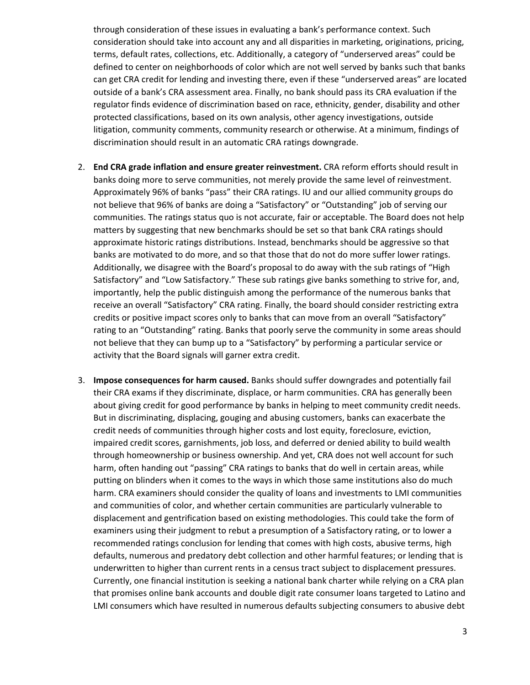through consideration of these issues in evaluating a bank's performance context. Such consideration should take into account any and all disparities in marketing, originations, pricing, terms, default rates, collections, etc. Additionally, a category of "underserved areas" could be defined to center on neighborhoods of color which are not well served by banks such that banks can get CRA credit for lending and investing there, even if these "underserved areas" are located outside of a bank's CRA assessment area. Finally, no bank should pass its CRA evaluation if the regulator finds evidence of discrimination based on race, ethnicity, gender, disability and other protected classifications, based on its own analysis, other agency investigations, outside litigation, community comments, community research or otherwise. At a minimum, findings of discrimination should result in an automatic CRA ratings downgrade.

- 2. **End CRA grade inflation and ensure greater reinvestment.** CRA reform efforts should result in banks doing more to serve communities, not merely provide the same level of reinvestment. Approximately 96% of banks "pass" their CRA ratings. IU and our allied community groups do not believe that 96% of banks are doing a "Satisfactory" or "Outstanding" job of serving our communities. The ratings status quo is not accurate, fair or acceptable. The Board does not help matters by suggesting that new benchmarks should be set so that bank CRA ratings should approximate historic ratings distributions. Instead, benchmarks should be aggressive so that banks are motivated to do more, and so that those that do not do more suffer lower ratings. Additionally, we disagree with the Board's proposal to do away with the sub ratings of "High Satisfactory" and "Low Satisfactory." These sub ratings give banks something to strive for, and, importantly, help the public distinguish among the performance of the numerous banks that receive an overall "Satisfactory" CRA rating. Finally, the board should consider restricting extra credits or positive impact scores only to banks that can move from an overall "Satisfactory" rating to an "Outstanding" rating. Banks that poorly serve the community in some areas should not believe that they can bump up to a "Satisfactory" by performing a particular service or activity that the Board signals will garner extra credit.
- 3. **Impose consequences for harm caused.** Banks should suffer downgrades and potentially fail their CRA exams if they discriminate, displace, or harm communities. CRA has generally been about giving credit for good performance by banks in helping to meet community credit needs. But in discriminating, displacing, gouging and abusing customers, banks can exacerbate the credit needs of communities through higher costs and lost equity, foreclosure, eviction, impaired credit scores, garnishments, job loss, and deferred or denied ability to build wealth through homeownership or business ownership. And yet, CRA does not well account for such harm, often handing out "passing" CRA ratings to banks that do well in certain areas, while putting on blinders when it comes to the ways in which those same institutions also do much harm. CRA examiners should consider the quality of loans and investments to LMI communities and communities of color, and whether certain communities are particularly vulnerable to displacement and gentrification based on existing methodologies. This could take the form of examiners using their judgment to rebut a presumption of a Satisfactory rating, or to lower a recommended ratings conclusion for lending that comes with high costs, abusive terms, high defaults, numerous and predatory debt collection and other harmful features; or lending that is underwritten to higher than current rents in a census tract subject to displacement pressures. Currently, one financial institution is seeking a national bank charter while relying on a CRA plan that promises online bank accounts and double digit rate consumer loans targeted to Latino and LMI consumers which have resulted in numerous defaults subjecting consumers to abusive debt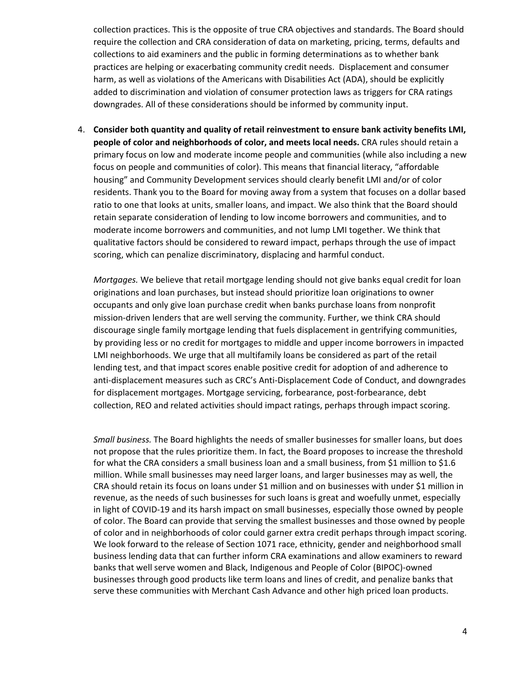collection practices. This is the opposite of true CRA objectives and standards. The Board should require the collection and CRA consideration of data on marketing, pricing, terms, defaults and collections to aid examiners and the public in forming determinations as to whether bank practices are helping or exacerbating community credit needs. Displacement and consumer harm, as well as violations of the Americans with Disabilities Act (ADA), should be explicitly added to discrimination and violation of consumer protection laws as triggers for CRA ratings downgrades. All of these considerations should be informed by community input.

4. **Consider both quantity and quality of retail reinvestment to ensure bank activity benefits LMI, people of color and neighborhoods of color, and meets local needs.** CRA rules should retain a primary focus on low and moderate income people and communities (while also including a new focus on people and communities of color). This means that financial literacy, "affordable housing" and Community Development services should clearly benefit LMI and/or of color residents. Thank you to the Board for moving away from a system that focuses on a dollar based ratio to one that looks at units, smaller loans, and impact. We also think that the Board should retain separate consideration of lending to low income borrowers and communities, and to moderate income borrowers and communities, and not lump LMI together. We think that qualitative factors should be considered to reward impact, perhaps through the use of impact scoring, which can penalize discriminatory, displacing and harmful conduct.

*Mortgages.* We believe that retail mortgage lending should not give banks equal credit for loan originations and loan purchases, but instead should prioritize loan originations to owner occupants and only give loan purchase credit when banks purchase loans from nonprofit mission-driven lenders that are well serving the community. Further, we think CRA should discourage single family mortgage lending that fuels displacement in gentrifying communities, by providing less or no credit for mortgages to middle and upper income borrowers in impacted LMI neighborhoods. We urge that all multifamily loans be considered as part of the retail lending test, and that impact scores enable positive credit for adoption of and adherence to anti-displacement measures such as CRC's Anti-Displacement Code of Conduct, and downgrades for displacement mortgages. Mortgage servicing, forbearance, post-forbearance, debt collection, REO and related activities should impact ratings, perhaps through impact scoring.

*Small business.* The Board highlights the needs of smaller businesses for smaller loans, but does not propose that the rules prioritize them. In fact, the Board proposes to increase the threshold for what the CRA considers a small business loan and a small business, from \$1 million to \$1.6 million. While small businesses may need larger loans, and larger businesses may as well, the CRA should retain its focus on loans under \$1 million and on businesses with under \$1 million in revenue, as the needs of such businesses for such loans is great and woefully unmet, especially in light of COVID-19 and its harsh impact on small businesses, especially those owned by people of color. The Board can provide that serving the smallest businesses and those owned by people of color and in neighborhoods of color could garner extra credit perhaps through impact scoring. We look forward to the release of Section 1071 race, ethnicity, gender and neighborhood small business lending data that can further inform CRA examinations and allow examiners to reward banks that well serve women and Black, Indigenous and People of Color (BIPOC)-owned businesses through good products like term loans and lines of credit, and penalize banks that serve these communities with Merchant Cash Advance and other high priced loan products.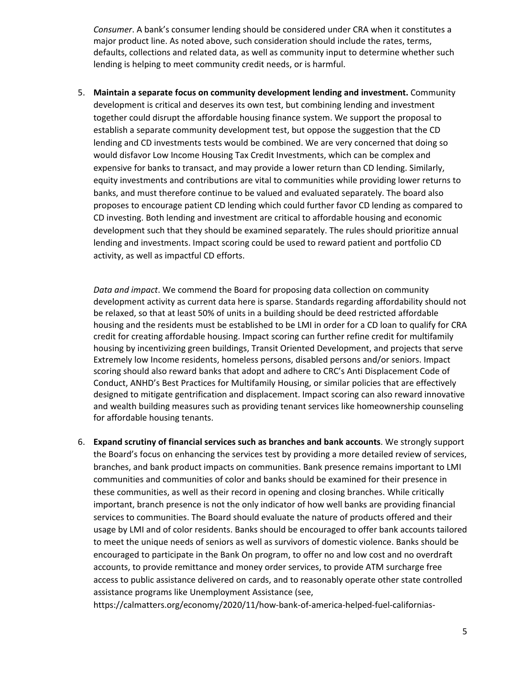*Consumer*. A bank's consumer lending should be considered under CRA when it constitutes a major product line. As noted above, such consideration should include the rates, terms, defaults, collections and related data, as well as community input to determine whether such lending is helping to meet community credit needs, or is harmful.

5. **Maintain a separate focus on community development lending and investment.** Community development is critical and deserves its own test, but combining lending and investment together could disrupt the affordable housing finance system. We support the proposal to establish a separate community development test, but oppose the suggestion that the CD lending and CD investments tests would be combined. We are very concerned that doing so would disfavor Low Income Housing Tax Credit Investments, which can be complex and expensive for banks to transact, and may provide a lower return than CD lending. Similarly, equity investments and contributions are vital to communities while providing lower returns to banks, and must therefore continue to be valued and evaluated separately. The board also proposes to encourage patient CD lending which could further favor CD lending as compared to CD investing. Both lending and investment are critical to affordable housing and economic development such that they should be examined separately. The rules should prioritize annual lending and investments. Impact scoring could be used to reward patient and portfolio CD activity, as well as impactful CD efforts.

*Data and impact*. We commend the Board for proposing data collection on community development activity as current data here is sparse. Standards regarding affordability should not be relaxed, so that at least 50% of units in a building should be deed restricted affordable housing and the residents must be established to be LMI in order for a CD loan to qualify for CRA credit for creating affordable housing. Impact scoring can further refine credit for multifamily housing by incentivizing green buildings, Transit Oriented Development, and projects that serve Extremely low Income residents, homeless persons, disabled persons and/or seniors. Impact scoring should also reward banks that adopt and adhere to CRC's Anti Displacement Code of Conduct, ANHD's Best Practices for Multifamily Housing, or similar policies that are effectively designed to mitigate gentrification and displacement. Impact scoring can also reward innovative and wealth building measures such as providing tenant services like homeownership counseling for affordable housing tenants.

6. **Expand scrutiny of financial services such as branches and bank accounts**. We strongly support the Board's focus on enhancing the services test by providing a more detailed review of services, branches, and bank product impacts on communities. Bank presence remains important to LMI communities and communities of color and banks should be examined for their presence in these communities, as well as their record in opening and closing branches. While critically important, branch presence is not the only indicator of how well banks are providing financial services to communities. The Board should evaluate the nature of products offered and their usage by LMI and of color residents. Banks should be encouraged to offer bank accounts tailored to meet the unique needs of seniors as well as survivors of domestic violence. Banks should be encouraged to participate in the Bank On program, to offer no and low cost and no overdraft accounts, to provide remittance and money order services, to provide ATM surcharge free access to public assistance delivered on cards, and to reasonably operate other state controlled assistance programs like Unemployment Assistance (see,

https://calmatters.org/economy/2020/11/how-bank-of-america-helped-fuel-californias-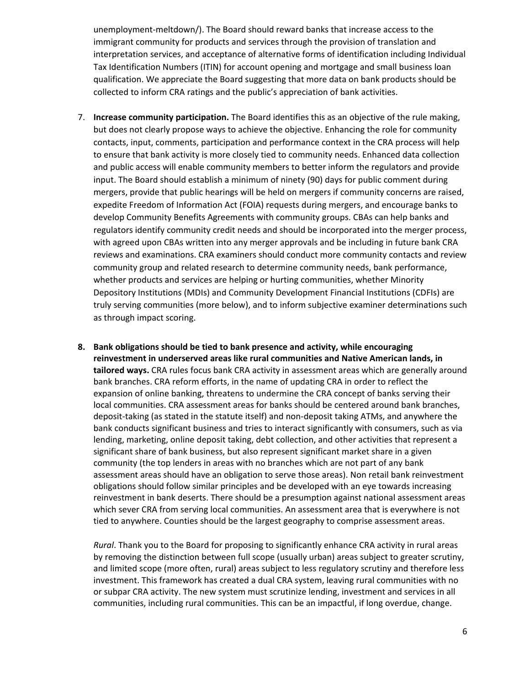unemployment-meltdown/). The Board should reward banks that increase access to the immigrant community for products and services through the provision of translation and interpretation services, and acceptance of alternative forms of identification including Individual Tax Identification Numbers (ITIN) for account opening and mortgage and small business loan qualification. We appreciate the Board suggesting that more data on bank products should be collected to inform CRA ratings and the public's appreciation of bank activities.

- 7. **Increase community participation.** The Board identifies this as an objective of the rule making, but does not clearly propose ways to achieve the objective. Enhancing the role for community contacts, input, comments, participation and performance context in the CRA process will help to ensure that bank activity is more closely tied to community needs. Enhanced data collection and public access will enable community members to better inform the regulators and provide input. The Board should establish a minimum of ninety (90) days for public comment during mergers, provide that public hearings will be held on mergers if community concerns are raised, expedite Freedom of Information Act (FOIA) requests during mergers, and encourage banks to develop Community Benefits Agreements with community groups. CBAs can help banks and regulators identify community credit needs and should be incorporated into the merger process, with agreed upon CBAs written into any merger approvals and be including in future bank CRA reviews and examinations. CRA examiners should conduct more community contacts and review community group and related research to determine community needs, bank performance, whether products and services are helping or hurting communities, whether Minority Depository Institutions (MDIs) and Community Development Financial Institutions (CDFIs) are truly serving communities (more below), and to inform subjective examiner determinations such as through impact scoring.
- **8. Bank obligations should be tied to bank presence and activity, while encouraging reinvestment in underserved areas like rural communities and Native American lands, in tailored ways.** CRA rules focus bank CRA activity in assessment areas which are generally around bank branches. CRA reform efforts, in the name of updating CRA in order to reflect the expansion of online banking, threatens to undermine the CRA concept of banks serving their local communities. CRA assessment areas for banks should be centered around bank branches, deposit-taking (as stated in the statute itself) and non-deposit taking ATMs, and anywhere the bank conducts significant business and tries to interact significantly with consumers, such as via lending, marketing, online deposit taking, debt collection, and other activities that represent a significant share of bank business, but also represent significant market share in a given community (the top lenders in areas with no branches which are not part of any bank assessment areas should have an obligation to serve those areas). Non retail bank reinvestment obligations should follow similar principles and be developed with an eye towards increasing reinvestment in bank deserts. There should be a presumption against national assessment areas which sever CRA from serving local communities. An assessment area that is everywhere is not tied to anywhere. Counties should be the largest geography to comprise assessment areas.

*Rural*. Thank you to the Board for proposing to significantly enhance CRA activity in rural areas by removing the distinction between full scope (usually urban) areas subject to greater scrutiny, and limited scope (more often, rural) areas subject to less regulatory scrutiny and therefore less investment. This framework has created a dual CRA system, leaving rural communities with no or subpar CRA activity. The new system must scrutinize lending, investment and services in all communities, including rural communities. This can be an impactful, if long overdue, change.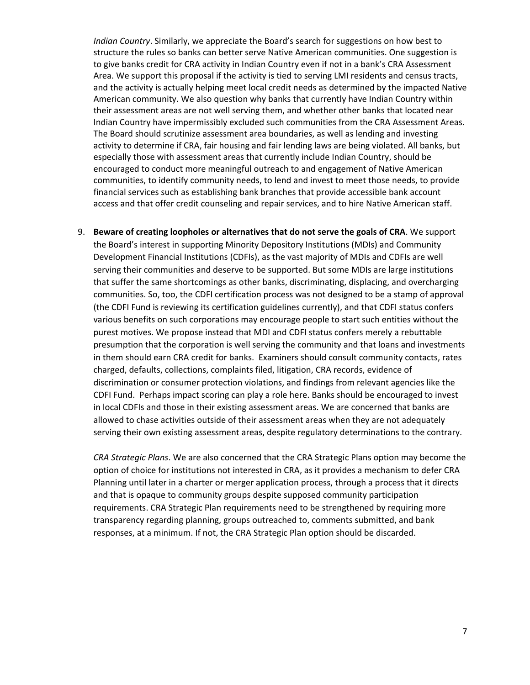*Indian Country*. Similarly, we appreciate the Board's search for suggestions on how best to structure the rules so banks can better serve Native American communities. One suggestion is to give banks credit for CRA activity in Indian Country even if not in a bank's CRA Assessment Area. We support this proposal if the activity is tied to serving LMI residents and census tracts, and the activity is actually helping meet local credit needs as determined by the impacted Native American community. We also question why banks that currently have Indian Country within their assessment areas are not well serving them, and whether other banks that located near Indian Country have impermissibly excluded such communities from the CRA Assessment Areas. The Board should scrutinize assessment area boundaries, as well as lending and investing activity to determine if CRA, fair housing and fair lending laws are being violated. All banks, but especially those with assessment areas that currently include Indian Country, should be encouraged to conduct more meaningful outreach to and engagement of Native American communities, to identify community needs, to lend and invest to meet those needs, to provide financial services such as establishing bank branches that provide accessible bank account access and that offer credit counseling and repair services, and to hire Native American staff.

9. **Beware of creating loopholes or alternatives that do not serve the goals of CRA**. We support the Board's interest in supporting Minority Depository Institutions (MDIs) and Community Development Financial Institutions (CDFIs), as the vast majority of MDIs and CDFIs are well serving their communities and deserve to be supported. But some MDIs are large institutions that suffer the same shortcomings as other banks, discriminating, displacing, and overcharging communities. So, too, the CDFI certification process was not designed to be a stamp of approval (the CDFI Fund is reviewing its certification guidelines currently), and that CDFI status confers various benefits on such corporations may encourage people to start such entities without the purest motives. We propose instead that MDI and CDFI status confers merely a rebuttable presumption that the corporation is well serving the community and that loans and investments in them should earn CRA credit for banks. Examiners should consult community contacts, rates charged, defaults, collections, complaints filed, litigation, CRA records, evidence of discrimination or consumer protection violations, and findings from relevant agencies like the CDFI Fund. Perhaps impact scoring can play a role here. Banks should be encouraged to invest in local CDFIs and those in their existing assessment areas. We are concerned that banks are allowed to chase activities outside of their assessment areas when they are not adequately serving their own existing assessment areas, despite regulatory determinations to the contrary.

*CRA Strategic Plans*. We are also concerned that the CRA Strategic Plans option may become the option of choice for institutions not interested in CRA, as it provides a mechanism to defer CRA Planning until later in a charter or merger application process, through a process that it directs and that is opaque to community groups despite supposed community participation requirements. CRA Strategic Plan requirements need to be strengthened by requiring more transparency regarding planning, groups outreached to, comments submitted, and bank responses, at a minimum. If not, the CRA Strategic Plan option should be discarded.